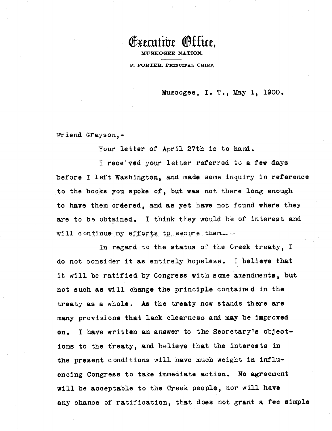

MUSKOGEE NATI

**P. PORTER. PRINCIPAL CHIEF.**

Musoogee, I. T., May 1, 1900.

Friend Grayson,-

Your letter of April 27th is to hand.

I received your letter referred to a few days before I left Washington, and made some inquiry in reference to the books you spoke of, but **was** not there long enough to have them ordered, and as yet have not found where they are to be obtained. I think they would be of interest and will continue my efforts to secure them.

In regard to the status of the Creek treaty, I do not consider it as entirely hopeless. I **believe** that it will be ratified by Congress with some amendments, but not such as will change the principle contained in the treaty as a whole. As the treaty now stands there **are** many provisions that lack clearness and may be **improved on. I have** written an answer to the Secretary's object**ions** to the treaty, and believe that the interests in the present conditions will have much weight in influencing Congress to take immediate action. No agreement will be acceptable to the Creek people, nor will have any chance of ratification, that does not grant a fee simple